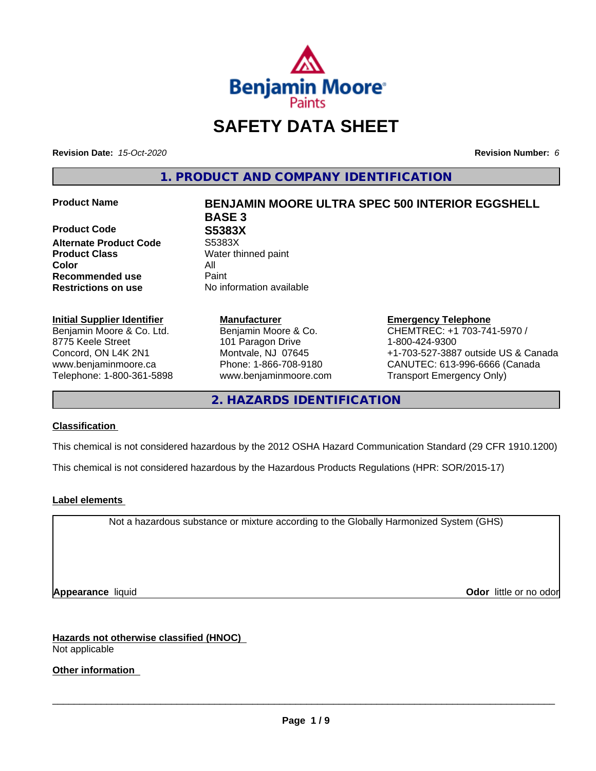

# **SAFETY DATA SHEET**

**Revision Date:** *15-Oct-2020* **Revision Number:** *6*

**1. PRODUCT AND COMPANY IDENTIFICATION**

**Product Code 688383X<br>
Alternate Product Code 55383X Alternate Product Code Product Class** Water thinned paint **Color** All **Recommended use** Paint **Restrictions on use** No information available

## **Initial Supplier Identifier**

Benjamin Moore & Co. Ltd. 8775 Keele Street Concord, ON L4K 2N1 www.benjaminmoore.ca Telephone: 1-800-361-5898

## **Product Name BENJAMIN MOORE ULTRA SPEC 500 INTERIOR EGGSHELL BASE 3**

**Manufacturer** Benjamin Moore & Co. 101 Paragon Drive Montvale, NJ 07645 Phone: 1-866-708-9180 www.benjaminmoore.com

## **Emergency Telephone**

CHEMTREC: +1 703-741-5970 / 1-800-424-9300 +1-703-527-3887 outside US & Canada CANUTEC: 613-996-6666 (Canada Transport Emergency Only)

**2. HAZARDS IDENTIFICATION**

### **Classification**

This chemical is not considered hazardous by the 2012 OSHA Hazard Communication Standard (29 CFR 1910.1200)

This chemical is not considered hazardous by the Hazardous Products Regulations (HPR: SOR/2015-17)

### **Label elements**

Not a hazardous substance or mixture according to the Globally Harmonized System (GHS)

**Appearance** liquid **CODO** *Appearance liquid* **Odor**  *CODO CODO* **<b>***CODO CODO CODO CODO CODO CODO CODO CODO CODO CODO CODO CODO CODO CODO CODO CODO CODO* 

**Hazards not otherwise classified (HNOC)** Not applicable

**Other information**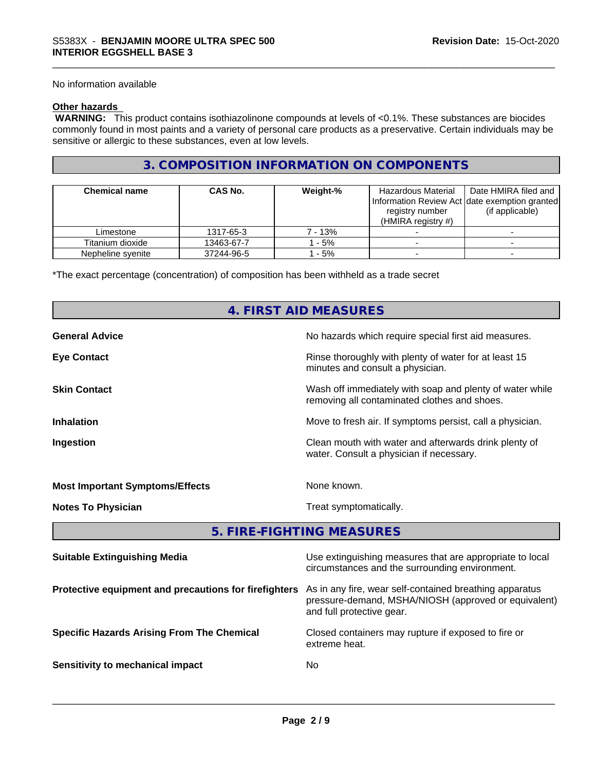No information available

### **Other hazards**

 **WARNING:** This product contains isothiazolinone compounds at levels of <0.1%. These substances are biocides commonly found in most paints and a variety of personal care products as a preservative. Certain individuals may be sensitive or allergic to these substances, even at low levels.

## **3. COMPOSITION INFORMATION ON COMPONENTS**

| <b>Chemical name</b> | <b>CAS No.</b> | Weight-% | Hazardous Material<br>registry number<br>(HMIRA registry $#$ ) | Date HMIRA filed and<br>Information Review Act date exemption granted<br>(if applicable) |
|----------------------|----------------|----------|----------------------------------------------------------------|------------------------------------------------------------------------------------------|
| Limestone            | 1317-65-3      | 7 - 13%  |                                                                |                                                                                          |
| Titanium dioxide     | 13463-67-7     | $-5%$    |                                                                |                                                                                          |
| Nepheline syenite    | 37244-96-5     | $-5%$    |                                                                |                                                                                          |

\*The exact percentage (concentration) of composition has been withheld as a trade secret

## **4. FIRST AID MEASURES**

| <b>General Advice</b>                  | No hazards which require special first aid measures.                                                     |
|----------------------------------------|----------------------------------------------------------------------------------------------------------|
| <b>Eye Contact</b>                     | Rinse thoroughly with plenty of water for at least 15<br>minutes and consult a physician.                |
| <b>Skin Contact</b>                    | Wash off immediately with soap and plenty of water while<br>removing all contaminated clothes and shoes. |
| <b>Inhalation</b>                      | Move to fresh air. If symptoms persist, call a physician.                                                |
| Ingestion                              | Clean mouth with water and afterwards drink plenty of<br>water. Consult a physician if necessary.        |
| <b>Most Important Symptoms/Effects</b> | None known.                                                                                              |
| <b>Notes To Physician</b>              | Treat symptomatically.                                                                                   |

**5. FIRE-FIGHTING MEASURES**

| <b>Suitable Extinguishing Media</b>                   | Use extinguishing measures that are appropriate to local<br>circumstances and the surrounding environment.                                   |
|-------------------------------------------------------|----------------------------------------------------------------------------------------------------------------------------------------------|
| Protective equipment and precautions for firefighters | As in any fire, wear self-contained breathing apparatus<br>pressure-demand, MSHA/NIOSH (approved or equivalent)<br>and full protective gear. |
| <b>Specific Hazards Arising From The Chemical</b>     | Closed containers may rupture if exposed to fire or<br>extreme heat.                                                                         |
| Sensitivity to mechanical impact                      | No.                                                                                                                                          |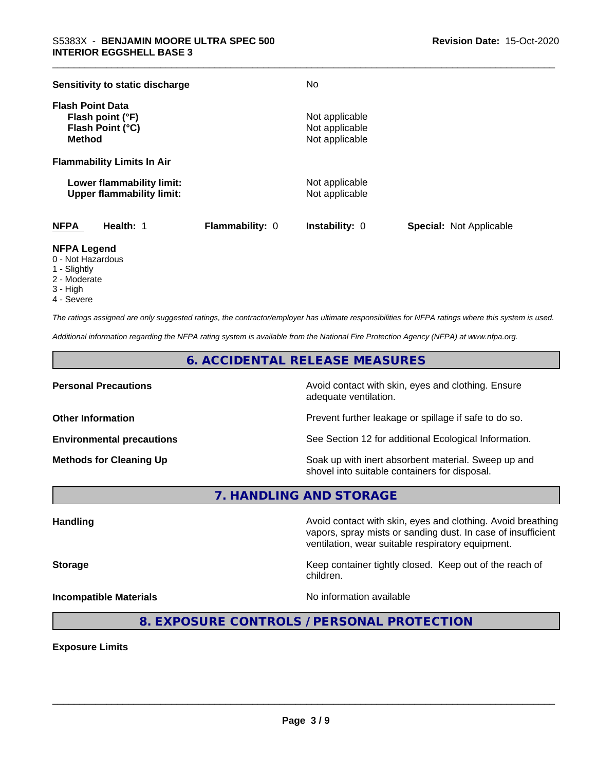| Sensitivity to static discharge                                                  |                        | No                                                 |                                |
|----------------------------------------------------------------------------------|------------------------|----------------------------------------------------|--------------------------------|
| <b>Flash Point Data</b><br>Flash point (°F)<br>Flash Point (°C)<br><b>Method</b> |                        | Not applicable<br>Not applicable<br>Not applicable |                                |
| <b>Flammability Limits In Air</b>                                                |                        |                                                    |                                |
| Lower flammability limit:<br><b>Upper flammability limit:</b>                    |                        | Not applicable<br>Not applicable                   |                                |
| <b>NFPA</b><br>Health: 1                                                         | <b>Flammability: 0</b> | <b>Instability: 0</b>                              | <b>Special: Not Applicable</b> |

#### **NFPA Legend**

- 0 Not Hazardous
- 1 Slightly
- 2 Moderate
- 3 High
- 4 Severe

*The ratings assigned are only suggested ratings, the contractor/employer has ultimate responsibilities for NFPA ratings where this system is used.*

*Additional information regarding the NFPA rating system is available from the National Fire Protection Agency (NFPA) at www.nfpa.org.*

## **6. ACCIDENTAL RELEASE MEASURES**

**Personal Precautions Precautions** Avoid contact with skin, eyes and clothing. Ensure adequate ventilation.

**Other Information Other Information Prevent further leakage or spillage if safe to do so.** 

**Environmental precautions** See Section 12 for additional Ecological Information.

**Methods for Cleaning Up Example 20 Soak** up with inert absorbent material. Sweep up and shovel into suitable containers for disposal.

vapors, spray mists or sanding dust. In case of insufficient

ventilation, wear suitable respiratory equipment.

**7. HANDLING AND STORAGE**

**Handling Avoid contact with skin, eyes and clothing. Avoid breathing Handling Avoid breathing** 

**Storage Keep container tightly closed.** Keep out of the reach of

**Incompatible Materials Incompatible Materials No information available** 

 $\overline{\phantom{a}}$  ,  $\overline{\phantom{a}}$  ,  $\overline{\phantom{a}}$  ,  $\overline{\phantom{a}}$  ,  $\overline{\phantom{a}}$  ,  $\overline{\phantom{a}}$  ,  $\overline{\phantom{a}}$  ,  $\overline{\phantom{a}}$  ,  $\overline{\phantom{a}}$  ,  $\overline{\phantom{a}}$  ,  $\overline{\phantom{a}}$  ,  $\overline{\phantom{a}}$  ,  $\overline{\phantom{a}}$  ,  $\overline{\phantom{a}}$  ,  $\overline{\phantom{a}}$  ,  $\overline{\phantom{a}}$ 

**8. EXPOSURE CONTROLS / PERSONAL PROTECTION**

children.

**Exposure Limits**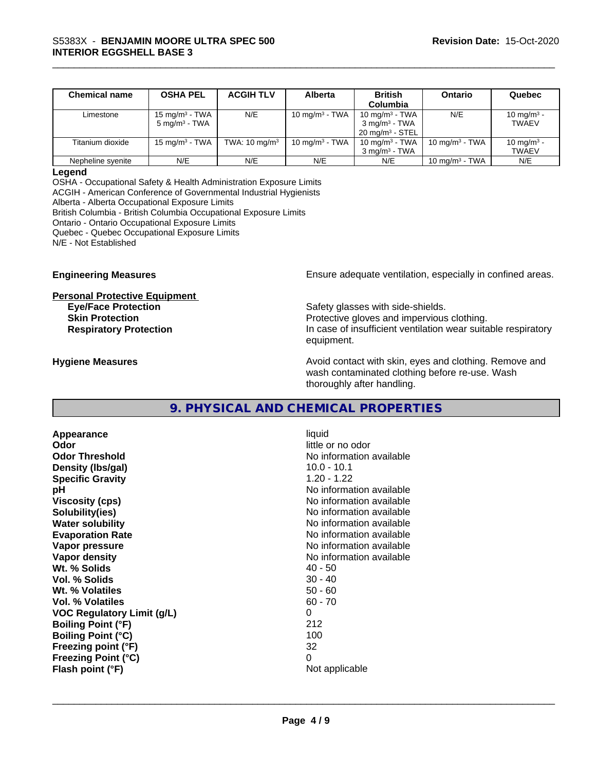| <b>Chemical name</b> | <b>OSHA PEL</b>            | <b>ACGIH TLV</b>         | Alberta           | <b>British</b>             | Ontario                    | Quebec                 |
|----------------------|----------------------------|--------------------------|-------------------|----------------------------|----------------------------|------------------------|
|                      |                            |                          |                   | Columbia                   |                            |                        |
| Limestone            | 15 mg/m <sup>3</sup> - TWA | N/E                      | 10 mg/m $3$ - TWA | 10 mg/m <sup>3</sup> - TWA | N/E                        | 10 mg/m <sup>3</sup> - |
|                      | $5 \text{ mg/m}^3$ - TWA   |                          |                   | $3 \text{ ma/m}^3$ - TWA   |                            | <b>TWAEV</b>           |
|                      |                            |                          |                   | $20 \text{ ma/m}^3$ - STEL |                            |                        |
| Titanium dioxide     | 15 mg/m $3$ - TWA          | TWA: $10 \text{ mg/m}^3$ | 10 mg/m $3$ - TWA | 10 mg/m $3$ - TWA          | 10 mg/m $3$ - TWA          | 10 mg/m <sup>3</sup> - |
|                      |                            |                          |                   | $3 \text{ ma/m}^3$ - TWA   |                            | <b>TWAEV</b>           |
| Nepheline syenite    | N/E                        | N/E                      | N/E               | N/E                        | 10 mg/m <sup>3</sup> - TWA | N/E                    |

#### **Legend**

OSHA - Occupational Safety & Health Administration Exposure Limits ACGIH - American Conference of Governmental Industrial Hygienists Alberta - Alberta Occupational Exposure Limits British Columbia - British Columbia Occupational Exposure Limits Ontario - Ontario Occupational Exposure Limits Quebec - Quebec Occupational Exposure Limits N/E - Not Established

**Personal Protective Equipment**

**Engineering Measures Ensure** Ensure adequate ventilation, especially in confined areas.

**Eye/Face Protection Safety glasses with side-shields. Skin Protection Protection Protective gloves and impervious clothing. Respiratory Protection In case of insufficient ventilation wear suitable respiratory** equipment.

**Hygiene Measures Avoid contact with skin, eyes and clothing. Remove and Hygiene Measures** and clothing. Remove and wash contaminated clothing before re-use. Wash thoroughly after handling.

## **9. PHYSICAL AND CHEMICAL PROPERTIES**

**Appearance** liquid **Odor Odor Odor Odor Odor** *CODOR CODOR CODOR CODOR CODOR CODOR CODOR CODOR CODOR CODOR CODOR CODOR CODOR CODOR CODOR CODOR CODOR CODOR CODOR* **Odor Threshold No information available No information available Density (lbs/gal)** 10.0 - 10.1 **Specific Gravity** 1.20 - 1.22 **pH pH**  $\blacksquare$ **Viscosity (cps)** No information available **Solubility(ies)** No information available **Water solubility Water solubility Water solubility Water solubility Water solubility Water solution Evaporation Rate No information available No information available Vapor pressure** No information available **Vapor density Vapor** density **Wt. % Solids** 40 - 50 **Vol. % Solids** 30 - 40 **Wt. % Volatiles Vol. % Volatiles** 60 - 70 **VOC Regulatory Limit (g/L)** 0 **Boiling Point (°F)** 212 **Boiling Point (°C)** 100 **Freezing point (°F)** 32 **Freezing Point (°C)** 0 **Flash point (°F)** Not applicable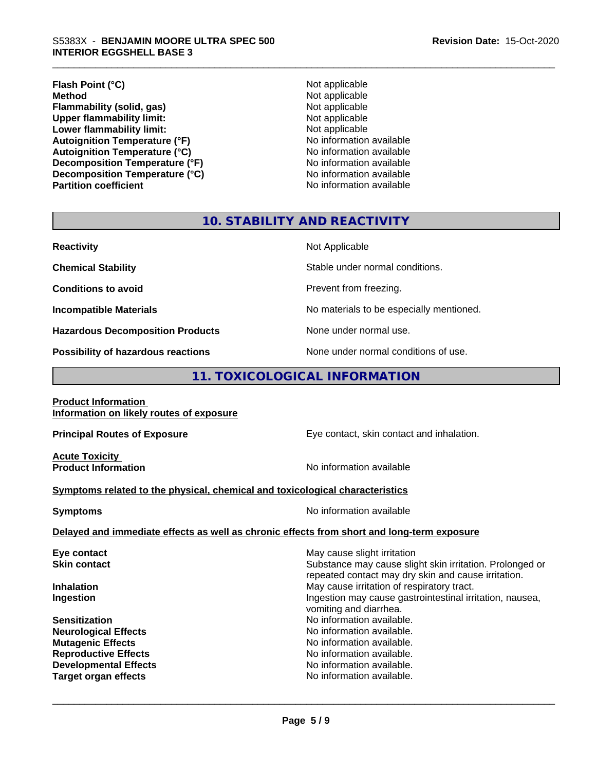#### \_\_\_\_\_\_\_\_\_\_\_\_\_\_\_\_\_\_\_\_\_\_\_\_\_\_\_\_\_\_\_\_\_\_\_\_\_\_\_\_\_\_\_\_\_\_\_\_\_\_\_\_\_\_\_\_\_\_\_\_\_\_\_\_\_\_\_\_\_\_\_\_\_\_\_\_\_\_\_\_\_\_\_\_\_\_\_\_\_\_\_\_\_ S5383X - **BENJAMIN MOORE ULTRA SPEC <sup>500</sup> INTERIOR EGGSHELL BASE 3**

## **Flash Point (°C)**<br> **Method** Not applicable<br>
Not applicable<br>
Not applicable **Flammability (solid, gas)**<br> **Contains Upper flammability limit:**<br>
Upper flammability limit:<br>
Not applicable **Upper flammability limit:**<br> **Lower flammability limit:**<br>
Not applicable<br>
Not applicable **Lower flammability limit:**<br> **Autoignition Temperature (°F)**<br>
Mo information available Autoignition Temperature (°F)<br>
Autoignition Temperature (°C)<br>
No information available **Autoignition Temperature (°C)**<br> **Decomposition Temperature (°F)** No information available **Decomposition Temperature (°F)**<br> **Decomposition Temperature (°C)**<br>
No information available **Decomposition Temperature (°C)**

**Not applicable**<br>**Not applicable Partition coefficient Contract Contract Contract Contract Contract Contract Contract Contract Contract Contract Contract Contract Contract Contract Contract Contract Contract Contract Contract Contract Contract Contract** 

## **10. STABILITY AND REACTIVITY**

| <b>Reactivity</b>                                 | Not Applicable                                                  |
|---------------------------------------------------|-----------------------------------------------------------------|
| <b>Chemical Stability</b>                         | Stable under normal conditions.                                 |
| <b>Conditions to avoid</b>                        | Prevent from freezing.                                          |
| <b>Incompatible Materials</b>                     | No materials to be especially mentioned.                        |
| <b>Hazardous Decomposition Products</b>           | None under normal use.                                          |
| The constitution of the computation and continued | المتحدد المتاري والمتلقات والمتحدد والمتحدد والمستحدث والمستحدث |

**Possibility of hazardous reactions** None under normal conditions of use.

## **11. TOXICOLOGICAL INFORMATION**

| <b>Product Information</b>                                                                 |                                                                                                                 |
|--------------------------------------------------------------------------------------------|-----------------------------------------------------------------------------------------------------------------|
| Information on likely routes of exposure                                                   |                                                                                                                 |
| <b>Principal Routes of Exposure</b>                                                        | Eye contact, skin contact and inhalation.                                                                       |
| <b>Acute Toxicity</b><br><b>Product Information</b>                                        | No information available                                                                                        |
| Symptoms related to the physical, chemical and toxicological characteristics               |                                                                                                                 |
| <b>Symptoms</b>                                                                            | No information available                                                                                        |
| Delayed and immediate effects as well as chronic effects from short and long-term exposure |                                                                                                                 |
| Eye contact                                                                                | May cause slight irritation                                                                                     |
| <b>Skin contact</b>                                                                        | Substance may cause slight skin irritation. Prolonged or<br>repeated contact may dry skin and cause irritation. |
| <b>Inhalation</b>                                                                          | May cause irritation of respiratory tract.                                                                      |
| Ingestion                                                                                  | Ingestion may cause gastrointestinal irritation, nausea,<br>vomiting and diarrhea.                              |
| <b>Sensitization</b>                                                                       | No information available.                                                                                       |
| <b>Neurological Effects</b>                                                                | No information available.                                                                                       |
| <b>Mutagenic Effects</b>                                                                   | No information available.                                                                                       |
| <b>Reproductive Effects</b>                                                                | No information available.                                                                                       |
| <b>Developmental Effects</b>                                                               | No information available.                                                                                       |
| <b>Target organ effects</b>                                                                | No information available.                                                                                       |
|                                                                                            |                                                                                                                 |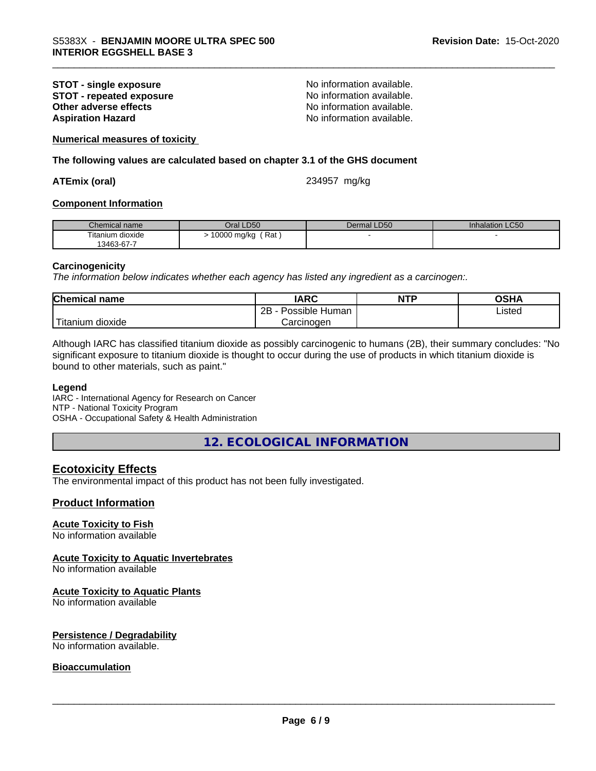## **STOT - single exposure**<br> **STOT - repeated exposure**<br> **STOT - repeated exposure**<br> **No information available. STOT** - repeated exposure<br>Other adverse effects **Aspiration Hazard Aspiration Hazard No information available.**

No information available.

**Numerical measures of toxicity**

**The following values are calculated based on chapter 3.1 of the GHS document**

#### **ATEmix (oral)** 234957 mg/kg

#### **Component Information**

| Chemical name                  | <b>LD50</b><br>Dral | Dermal LD50 | Inhalation LC50 |
|--------------------------------|---------------------|-------------|-----------------|
| Titanium dioxide<br>13463-67-7 | Rat<br>10000 mg/kg  |             |                 |

#### **Carcinogenicity**

*The information below indicateswhether each agency has listed any ingredient as a carcinogen:.*

| <b>Chemical</b><br>name          | <b>IARC</b>                    | <b>NTP</b> | $\sim$ u $\prime$<br>JJNP |  |
|----------------------------------|--------------------------------|------------|---------------------------|--|
|                                  | .<br>2B<br>: Human<br>Possible |            | ∟isted                    |  |
| .<br>. dioxide<br><b>itanium</b> | Carcinogen                     |            |                           |  |

Although IARC has classified titanium dioxide as possibly carcinogenic to humans (2B), their summary concludes: "No significant exposure to titanium dioxide is thought to occur during the use of products in which titanium dioxide is bound to other materials, such as paint."

#### **Legend**

IARC - International Agency for Research on Cancer NTP - National Toxicity Program OSHA - Occupational Safety & Health Administration

**12. ECOLOGICAL INFORMATION**

### **Ecotoxicity Effects**

The environmental impact of this product has not been fully investigated.

#### **Product Information**

#### **Acute Toxicity to Fish**

No information available

#### **Acute Toxicity to Aquatic Invertebrates**

No information available

## **Acute Toxicity to Aquatic Plants**

No information available

#### **Persistence / Degradability**

No information available.

#### **Bioaccumulation**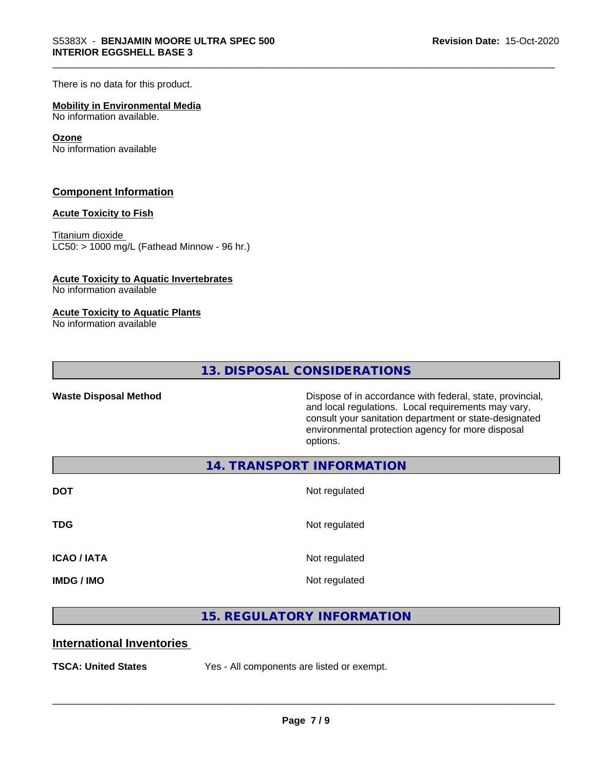There is no data for this product.

#### **Mobility in Environmental Media**

No information available.

#### **Ozone**

No information available

#### **Component Information**

#### **Acute Toxicity to Fish**

Titanium dioxide  $LCS0: > 1000$  mg/L (Fathead Minnow - 96 hr.)

#### **Acute Toxicity to Aquatic Invertebrates**

No information available

#### **Acute Toxicity to Aquatic Plants**

No information available

**13. DISPOSAL CONSIDERATIONS**

Waste Disposal Method **Dispose of in accordance with federal, state, provincial,** and local regulations. Local requirements may vary, consult your sanitation department or state-designated environmental protection agency for more disposal options.

**14. TRANSPORT INFORMATION**

| <b>DOT</b>         | Not regulated |
|--------------------|---------------|
| <b>TDG</b>         | Not regulated |
| <b>ICAO / IATA</b> | Not regulated |
| <b>IMDG / IMO</b>  | Not regulated |

## **15. REGULATORY INFORMATION**

## **International Inventories**

**TSCA: United States** Yes - All components are listed or exempt.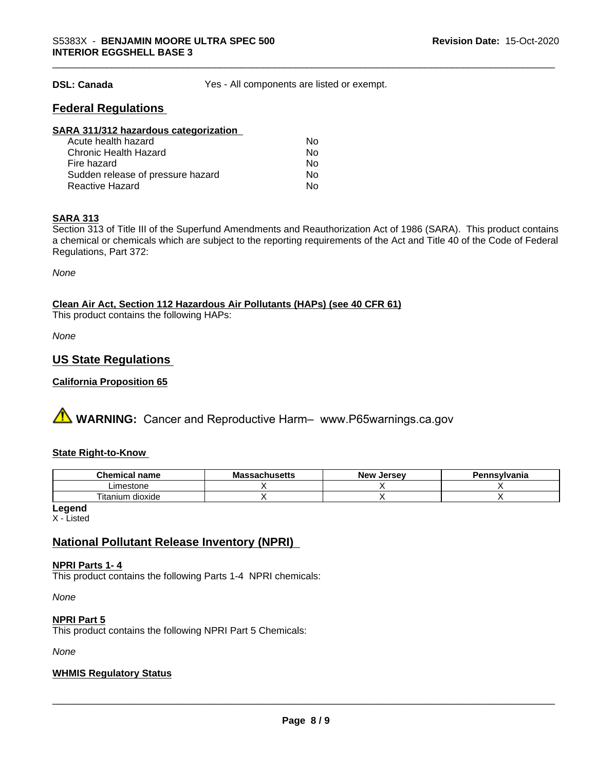**DSL: Canada** Yes - All components are listed or exempt.

## **Federal Regulations**

| SARA 311/312 hazardous categorization |    |  |
|---------------------------------------|----|--|
| Acute health hazard                   | Nο |  |
| <b>Chronic Health Hazard</b>          | No |  |
| Fire hazard                           | No |  |
| Sudden release of pressure hazard     | Nο |  |
| <b>Reactive Hazard</b>                | No |  |

### **SARA 313**

Section 313 of Title III of the Superfund Amendments and Reauthorization Act of 1986 (SARA). This product contains a chemical or chemicals which are subject to the reporting requirements of the Act and Title 40 of the Code of Federal Regulations, Part 372:

*None*

## **Clean Air Act,Section 112 Hazardous Air Pollutants (HAPs) (see 40 CFR 61)**

This product contains the following HAPs:

*None*

## **US State Regulations**

#### **California Proposition 65**

**A WARNING:** Cancer and Reproductive Harm– www.P65warnings.ca.gov

#### **State Right-to-Know**

| Chemical<br>name     | - -<br>мs<br>atilystus – | Jersev<br><b>Nev</b> | าnsvlvania |
|----------------------|--------------------------|----------------------|------------|
| Limestone            |                          |                      |            |
| dioxide<br>I itanıum |                          |                      |            |

**Legend**

X - Listed

## **National Pollutant Release Inventory (NPRI)**

#### **NPRI Parts 1- 4**

This product contains the following Parts 1-4 NPRI chemicals:

*None*

#### **NPRI Part 5**

This product contains the following NPRI Part 5 Chemicals:

*None*

#### **WHMIS Regulatory Status**